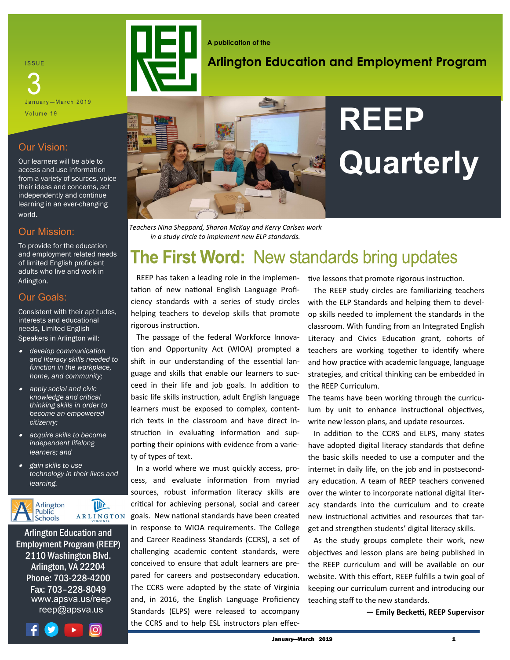**ISSUE** 

January—March 2019 Volume 19

#### Our Vision:

Our learners will be able to access and use information from a variety of sources, voice their ideas and concerns, act independently and continue learning in an ever-changing world.

#### Our Mission:

To provide for the education and employment related needs of limited English proficient adults who live and work in Arlington.

#### Our Goals:

Consistent with their aptitudes, interests and educational needs, Limited English Speakers in Arlington will:

- • *develop communication and literacy skills needed to function in the workplace, home, and community;*
- • *apply social and civic knowledge and critical thinking skills in order to become an empowered citizenry;*
- • *acquire skills to become independent lifelong learners; and*
- • *gain skills to use technology in their lives and learning.*



Arlington Education and Employment Program (REEP) 2110 Washington Blvd. Arlington, VA 22204 Phone: 703-228-4200 Fax: 703–228-8049 www.apsva.us/reep reep@apsva.us





### **Arlington Education and Employment Program**



## **REEP Quarterly**

*Teachers Nina Sheppard, Sharon McKay and Kerry Carlsen work in a study circle to implement new ELP standards.*

## **The First Word: New standards bring updates**

 REEP has taken a leading role in the implementation of new national English Language Proficiency standards with a series of study circles helping teachers to develop skills that promote rigorous instruction.

 The passage of the federal Workforce Innovation and Opportunity Act (WIOA) prompted a shift in our understanding of the essential language and skills that enable our learners to succeed in their life and job goals. In addition to basic life skills instruction, adult English language learners must be exposed to complex, contentrich texts in the classroom and have direct instruction in evaluating information and supporting their opinions with evidence from a variety of types of text.

 In a world where we must quickly access, process, and evaluate information from myriad sources, robust information literacy skills are critical for achieving personal, social and career goals. New national standards have been created in response to WIOA requirements. The College and Career Readiness Standards (CCRS), a set of challenging academic content standards, were conceived to ensure that adult learners are prepared for careers and postsecondary education. The CCRS were adopted by the state of Virginia and, in 2016, the English Language Proficiency Standards (ELPS) were released to accompany the CCRS and to help ESL instructors plan effective lessons that promote rigorous instruction.

 The REEP study circles are familiarizing teachers with the ELP Standards and helping them to develop skills needed to implement the standards in the classroom. With funding from an Integrated English Literacy and Civics Education grant, cohorts of teachers are working together to identify where and how practice with academic language, language strategies, and critical thinking can be embedded in the REEP Curriculum.

The teams have been working through the curriculum by unit to enhance instructional objectives, write new lesson plans, and update resources.

 In addition to the CCRS and ELPS, many states have adopted digital literacy standards that define the basic skills needed to use a computer and the internet in daily life, on the job and in postsecondary education. A team of REEP teachers convened over the winter to incorporate national digital literacy standards into the curriculum and to create new instructional activities and resources that target and strengthen students' digital literacy skills.

 As the study groups complete their work, new objectives and lesson plans are being published in the REEP curriculum and will be available on our website. With this effort, REEP fulfills a twin goal of keeping our curriculum current and introducing our teaching staff to the new standards.

**— Emily Becketti, REEP Supervisor**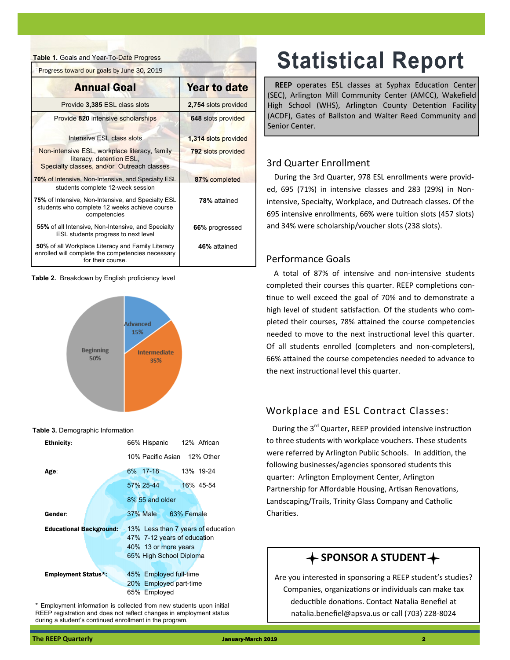**Table 1.** Goals and Year-To-Date Progress

EProgress toward our goals by June 30, 2019

| <b>Annual Goal</b>                                                                                                         | <b>Year to date</b>  |
|----------------------------------------------------------------------------------------------------------------------------|----------------------|
| Provide 3,385 ESL class slots                                                                                              | 2,754 slots provided |
| Provide 820 intensive scholarships                                                                                         | 648 slots provided   |
| Intensive ESL class slots                                                                                                  | 1,314 slots provided |
| Non-intensive ESL, workplace literacy, family<br>literacy, detention ESL,<br>Specialty classes, and/or Outreach classes    | 792 slots provided   |
| 70% of Intensive, Non-Intensive, and Specialty ESL<br>students complete 12-week session                                    | 87% completed        |
| 75% of Intensive, Non-Intensive, and Specialty ESL<br>students who complete 12 weeks achieve course<br>competencies        | 78% attained         |
| 55% of all Intensive, Non-Intensive, and Specialty<br>ESL students progress to next level                                  | 66% progressed       |
| 50% of all Workplace Literacy and Family Literacy<br>enrolled will complete the competencies necessary<br>for their course | 46% attained         |

**Table 2.** Breakdown by English proficiency level



#### **Table 3.** Demographic Information

| <b>Ethnicity:</b>              | 66% Hispanic 12% African                                                                                             |
|--------------------------------|----------------------------------------------------------------------------------------------------------------------|
|                                | 10% Pacific Asian 12% Other                                                                                          |
| Age:                           | 6% 17-18<br>13% 19-24                                                                                                |
|                                | 57% 25-44<br>16% 45-54                                                                                               |
|                                | 8% 55 and older                                                                                                      |
| Gender:                        | 37% Male 63% Female                                                                                                  |
| <b>Educational Background:</b> | 13% Less than 7 years of education<br>47% 7-12 years of education<br>40% 13 or more years<br>65% High School Diploma |
| <b>Employment Status*:</b>     | 45% Employed full-time<br>20% Employed part-time<br>65% Employed                                                     |

\* Employment information is collected from new students upon initial REEP registration and does not reflect changes in employment status during a student's continued enrollment in the program.

## **Statistical Report**

**REEP** operates ESL classes at Syphax Education Center (SEC), Arlington Mill Community Center (AMCC), Wakefield High School (WHS), Arlington County Detention Facility (ACDF), Gates of Ballston and Walter Reed Community and Senior Center.

#### 3rd Quarter Enrollment

During the 3rd Quarter, 978 ESL enrollments were provided, 695 (71%) in intensive classes and 283 (29%) in Nonintensive, Specialty, Workplace, and Outreach classes. Of the 695 intensive enrollments, 66% were tuition slots (457 slots) and 34% were scholarship/voucher slots (238 slots).

#### Performance Goals

A total of 87% of intensive and non-intensive students completed their courses this quarter. REEP completions continue to well exceed the goal of 70% and to demonstrate a high level of student satisfaction. Of the students who completed their courses, 78% attained the course competencies needed to move to the next instructional level this quarter. Of all students enrolled (completers and non-completers), 66% attained the course competencies needed to advance to the next instructional level this quarter.

#### Workplace and ESL Contract Classes:

During the 3<sup>rd</sup> Quarter, REEP provided intensive instruction to three students with workplace vouchers. These students were referred by Arlington Public Schools. In addition, the following businesses/agencies sponsored students this quarter: Arlington Employment Center, Arlington Partnership for Affordable Housing, Artisan Renovations, Landscaping/Trails, Trinity Glass Company and Catholic Charities.

#### $\div$  SPONSOR A STUDENT $\div$

Are you interested in sponsoring a REEP student's studies? Companies, organizations or individuals can make tax deductible donations. Contact Natalia Benefiel at natalia.benefiel@apsva.us or call (703) 228-8024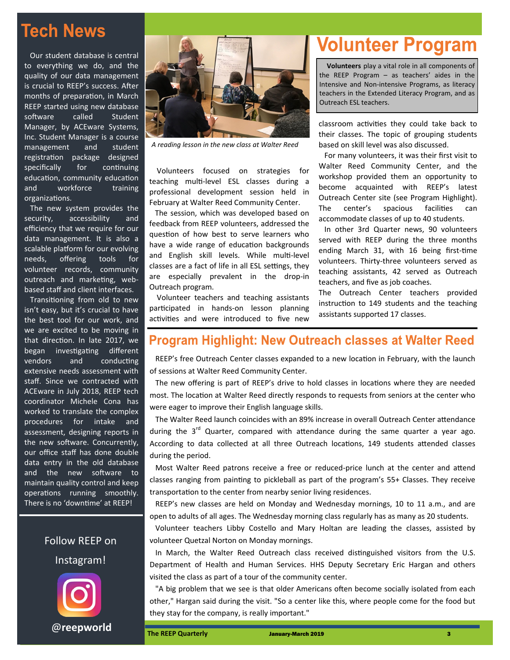## **Tech News**

 Our student database is central to everything we do, and the quality of our data management is crucial to REEP's success. After months of preparation, in March REEP started using new database software called Student Manager, by ACEware Systems, Inc. Student Manager is a course management and student registration package designed specifically for continuing education, community education and workforce training organizations.

 The new system provides the security, accessibility and efficiency that we require for our data management. It is also a scalable platform for our evolving needs, offering tools for volunteer records, community outreach and marketing, webbased staff and client interfaces.

 Transitioning from old to new isn't easy, but it's crucial to have the best tool for our work, and we are excited to be moving in that direction. In late 2017, we began investigating different vendors and conducting extensive needs assessment with staff. Since we contracted with ACEware in July 2018, REEP tech coordinator Michele Cona has worked to translate the complex procedures for intake and assessment, designing reports in the new software. Concurrently, our office staff has done double data entry in the old database and the new software to maintain quality control and keep operations running smoothly. There is no 'downtime' at REEP!

> Follow REEP on Instagram!

> > @**[reepworld](https://www.instagram.com/reepworld/)**



*A reading lesson in the new class at Walter Reed*

 Volunteers focused on strategies for teaching multi-level ESL classes during a professional development session held in February at Walter Reed Community Center.

 The session, which was developed based on feedback from REEP volunteers, addressed the question of how best to serve learners who have a wide range of education backgrounds and English skill levels. While multi-level classes are a fact of life in all ESL settings, they are especially prevalent in the drop-in Outreach program.

 Volunteer teachers and teaching assistants participated in hands-on lesson planning activities and were introduced to five new

## **Volunteer Program**

**Volunteers** play a vital role in all components of the REEP Program – as teachers' aides in the Intensive and Non-intensive Programs, as literacy teachers in the Extended Literacy Program, and as Outreach ESL teachers.

classroom activities they could take back to their classes. The topic of grouping students based on skill level was also discussed.

 For many volunteers, it was their first visit to Walter Reed Community Center, and the workshop provided them an opportunity to become acquainted with REEP's latest Outreach Center site (see Program Highlight). The center's spacious facilities can accommodate classes of up to 40 students.

 In other 3rd Quarter news, 90 volunteers served with REEP during the three months ending March 31, with 16 being first-time volunteers. Thirty-three volunteers served as teaching assistants, 42 served as Outreach teachers, and five as job coaches.

The Outreach Center teachers provided instruction to 149 students and the teaching assistants supported 17 classes.

#### **Program Highlight: New Outreach classes at Walter Reed**

 REEP's free Outreach Center classes expanded to a new location in February, with the launch of sessions at Walter Reed Community Center.

 The new offering is part of REEP's drive to hold classes in locations where they are needed most. The location at Walter Reed directly responds to requests from seniors at the center who were eager to improve their English language skills.

 The Walter Reed launch coincides with an 89% increase in overall Outreach Center attendance during the  $3^{rd}$  Quarter, compared with attendance during the same quarter a year ago. According to data collected at all three Outreach locations, 149 students attended classes during the period.

 Most Walter Reed patrons receive a free or reduced-price lunch at the center and attend classes ranging from painting to pickleball as part of the program's 55+ Classes. They receive transportation to the center from nearby senior living residences.

 REEP's new classes are held on Monday and Wednesday mornings, 10 to 11 a.m., and are open to adults of all ages. The Wednesday morning class regularly has as many as 20 students.

 Volunteer teachers Libby Costello and Mary Holtan are leading the classes, assisted by volunteer Quetzal Norton on Monday mornings.

 In March, the Walter Reed Outreach class received distinguished visitors from the U.S. Department of Health and Human Services. HHS Deputy Secretary Eric Hargan and others visited the class as part of a tour of the community center.

 "A big problem that we see is that older Americans often become socially isolated from each other," Hargan said during the visit. "So a center like this, where people come for the food but they stay for the company, is really important."